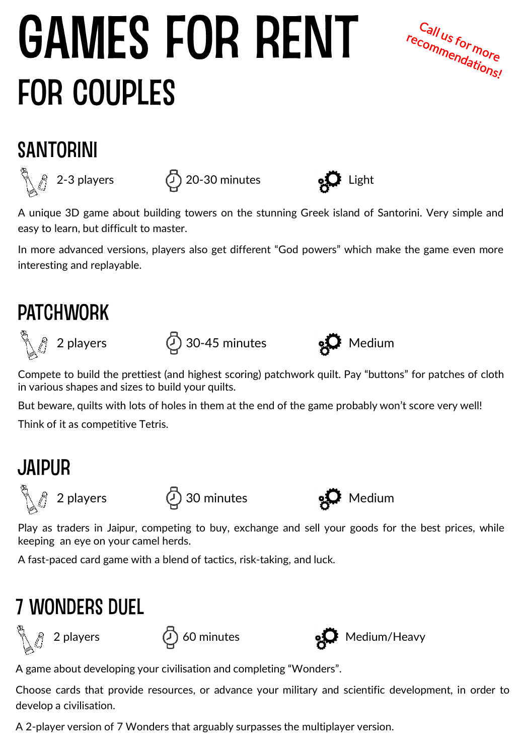# **GAMES FOR RENT FOR COUPLES**

Call us for more Call us for more<br>recommendations!

### **SANTORINI**





A unique 3D game about building towers on the stunning Greek island of Santorini. Very simple and easy to learn, but difficult to master.

In more advanced versions, players also get different "God powers" which make the game even more interesting and replayable.

#### **PATCHWORK**



 $\mathbb{Q}$  2 players  $\mathbb{Q}$  30-45 minutes  $\mathbf{Q}$  Medium



Compete to build the prettiest (and highest scoring) patchwork quilt. Pay "buttons" for patches of cloth in various shapes and sizes to build your quilts.

But beware, quilts with lots of holes in them at the end of the game probably won't score very well!

Think of it as competitive Tetris.

### **JAIPUR**





Play as traders in Jaipur, competing to buy, exchange and sell your goods for the best prices, while keeping an eye on your camel herds.

A fast-paced card game with a blend of tactics, risk-taking, and luck.

### **7 WONDERS DUEL**





A game about developing your civilisation and completing "Wonders".

Choose cards that provide resources, or advance your military and scientific development, in order to develop a civilisation.

A 2-player version of 7 Wonders that arguably surpasses the multiplayer version.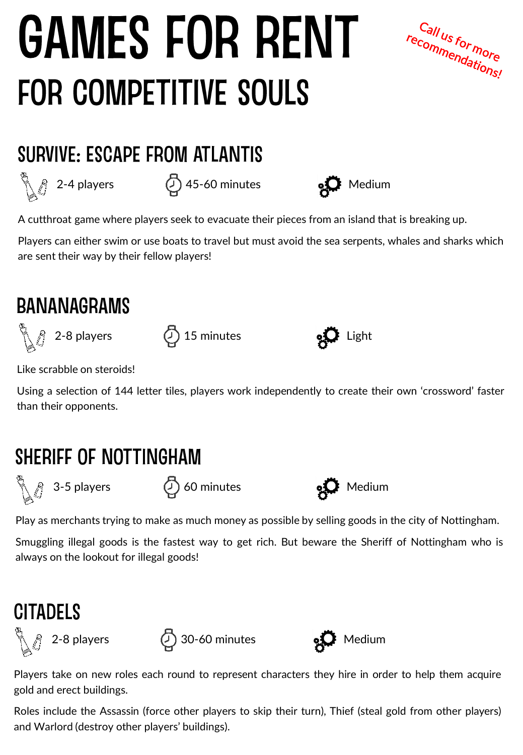# **GAMES FOR RENT FOR COMPETITIVE SOULS**



### **SURVIVE: ESCAPE FROM ATLANTIS**

 $\bigotimes_{\mathbb{Z}}$  2-4 players  $\bigoplus_{\mathbb{Z}}$  45-60 minutes  $\bigotimes_{\mathbb{Z}}$  Medium





A cutthroat game where players seek to evacuate their pieces from an island that is breaking up.

Players can either swim or use boats to travel but must avoid the sea serpents, whales and sharks which are sent their way by their fellow players!

#### **BANANAGRAMS**

 $\bigwedge_{i=1}^{\infty}$  2-8 players  $\bigoplus_{i=1}^{\infty}$  15 minutes  $\bigotimes_{i=1}^{\infty}$  Light



Like scrabble on steroids!

Using a selection of 144 letter tiles, players work independently to create their own 'crossword' faster than their opponents.

### SHERIFF OF NOTTINGHAM

 $\mathbb{Z}$  3-5 players  $\mathbb{Q}$  60 minutes  $\mathbf{S}$  Medium





Play as merchants trying to make as much money as possible by selling goods in the city of Nottingham.

Smuggling illegal goods is the fastest way to get rich. But beware the Sheriff of Nottingham who is always on the lookout for illegal goods!

### **CITADELS**





Players take on new roles each round to represent characters they hire in order to help them acquire gold and erect buildings.

Roles include the Assassin (force other players to skip their turn), Thief (steal gold from other players) and Warlord (destroy other players' buildings).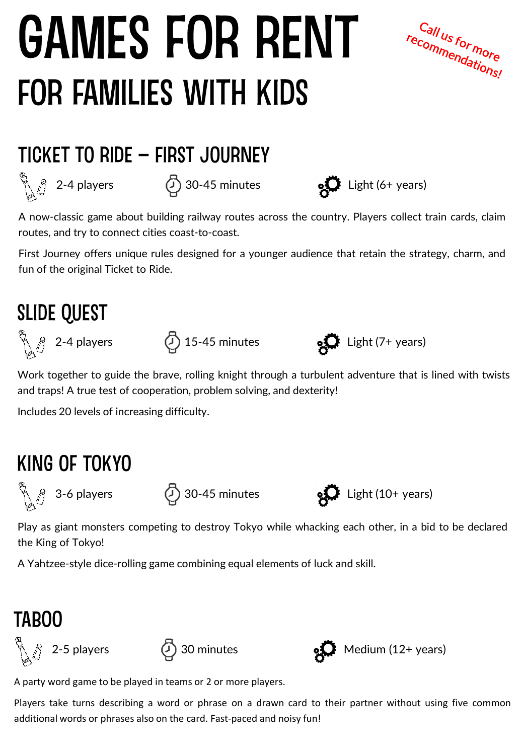# **GAMES FOR RENT FOR FAMILIES WITH KIDS**



#### TICKET TO RIDE - FIRST JOURNEY



A now-classic game about building railway routes across the country. Players collect train cards, claim routes, and try to connect cities coast-to-coast.

First Journey offers unique rules designed for a younger audience that retain the strategy, charm, and fun of the original Ticket to Ride.

#### **SLIDE QUEST**





Work together to guide the brave, rolling knight through a turbulent adventure that is lined with twists and traps! A true test of cooperation, problem solving, and dexterity!

Includes 20 levels of increasing difficulty.

#### KING OF TOKYO

 $\bigotimes_{i=1}^{\infty}$  3-6 players  $\bigoplus_{i=1}^{\infty}$  30-45 minutes  $\bigotimes_{i=1}^{\infty}$  Light (10+ years)

Play as giant monsters competing to destroy Tokyo while whacking each other, in a bid to be declared the King of Tokyo!

A Yahtzee-style dice-rolling game combining equal elements of luck and skill.

### **TABOO**







A party word game to be played in teams or 2 or more players.

Players take turns describing a word or phrase on a drawn card to their partner without using five common additional words or phrases also on the card. Fast-paced and noisy fun!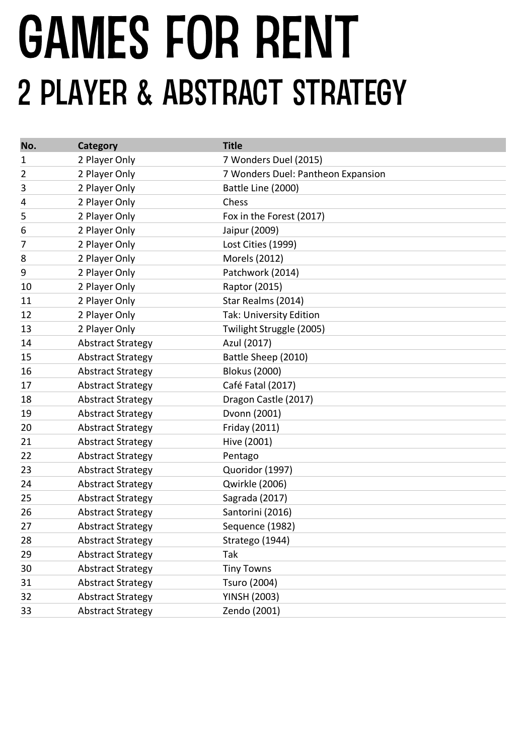### **GAMES FOR RENT** 2 PLAYER & ABSTRACT STRATEGY

| No. | Category                 | <b>Title</b>                       |
|-----|--------------------------|------------------------------------|
| 1   | 2 Player Only            | 7 Wonders Duel (2015)              |
| 2   | 2 Player Only            | 7 Wonders Duel: Pantheon Expansion |
| 3   | 2 Player Only            | Battle Line (2000)                 |
| 4   | 2 Player Only            | Chess                              |
| 5   | 2 Player Only            | Fox in the Forest (2017)           |
| 6   | 2 Player Only            | Jaipur (2009)                      |
| 7   | 2 Player Only            | Lost Cities (1999)                 |
| 8   | 2 Player Only            | Morels (2012)                      |
| 9   | 2 Player Only            | Patchwork (2014)                   |
| 10  | 2 Player Only            | Raptor (2015)                      |
| 11  | 2 Player Only            | Star Realms (2014)                 |
| 12  | 2 Player Only            | <b>Tak: University Edition</b>     |
| 13  | 2 Player Only            | Twilight Struggle (2005)           |
| 14  | <b>Abstract Strategy</b> | Azul (2017)                        |
| 15  | <b>Abstract Strategy</b> | Battle Sheep (2010)                |
| 16  | <b>Abstract Strategy</b> | <b>Blokus (2000)</b>               |
| 17  | <b>Abstract Strategy</b> | Café Fatal (2017)                  |
| 18  | <b>Abstract Strategy</b> | Dragon Castle (2017)               |
| 19  | <b>Abstract Strategy</b> | Dvonn (2001)                       |
| 20  | <b>Abstract Strategy</b> | Friday (2011)                      |
| 21  | <b>Abstract Strategy</b> | Hive (2001)                        |
| 22  | <b>Abstract Strategy</b> | Pentago                            |
| 23  | <b>Abstract Strategy</b> | Quoridor (1997)                    |
| 24  | <b>Abstract Strategy</b> | Qwirkle (2006)                     |
| 25  | <b>Abstract Strategy</b> | Sagrada (2017)                     |
| 26  | <b>Abstract Strategy</b> | Santorini (2016)                   |
| 27  | <b>Abstract Strategy</b> | Sequence (1982)                    |
| 28  | <b>Abstract Strategy</b> | Stratego (1944)                    |
| 29  | <b>Abstract Strategy</b> | Tak                                |
| 30  | <b>Abstract Strategy</b> | <b>Tiny Towns</b>                  |
| 31  | <b>Abstract Strategy</b> | Tsuro (2004)                       |
| 32  | <b>Abstract Strategy</b> | <b>YINSH (2003)</b>                |
| 33  | <b>Abstract Strategy</b> | Zendo (2001)                       |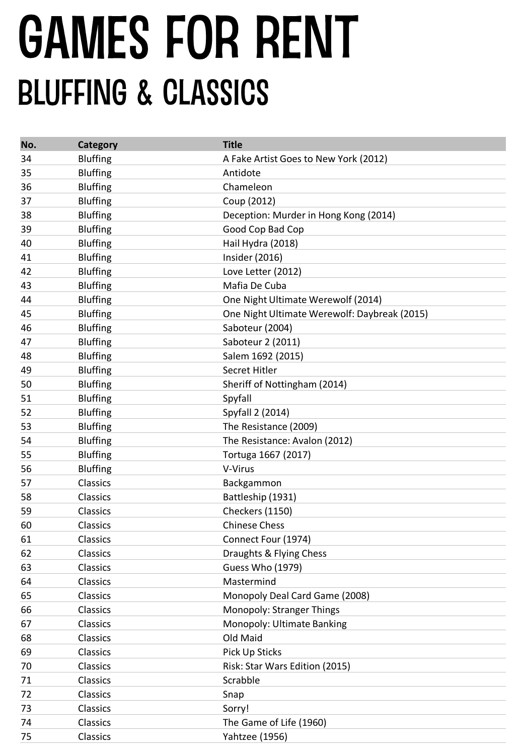# **GAMES FOR RENT BLUFFING & CLASSICS**

| No. | <b>Category</b> | <b>Title</b>                                 |
|-----|-----------------|----------------------------------------------|
| 34  | <b>Bluffing</b> | A Fake Artist Goes to New York (2012)        |
| 35  | <b>Bluffing</b> | Antidote                                     |
| 36  | <b>Bluffing</b> | Chameleon                                    |
| 37  | <b>Bluffing</b> | Coup (2012)                                  |
| 38  | <b>Bluffing</b> | Deception: Murder in Hong Kong (2014)        |
| 39  | <b>Bluffing</b> | Good Cop Bad Cop                             |
| 40  | <b>Bluffing</b> | Hail Hydra (2018)                            |
| 41  | <b>Bluffing</b> | Insider (2016)                               |
| 42  | <b>Bluffing</b> | Love Letter (2012)                           |
| 43  | <b>Bluffing</b> | Mafia De Cuba                                |
| 44  | <b>Bluffing</b> | One Night Ultimate Werewolf (2014)           |
| 45  | <b>Bluffing</b> | One Night Ultimate Werewolf: Daybreak (2015) |
| 46  | <b>Bluffing</b> | Saboteur (2004)                              |
| 47  | <b>Bluffing</b> | Saboteur 2 (2011)                            |
| 48  | <b>Bluffing</b> | Salem 1692 (2015)                            |
| 49  | <b>Bluffing</b> | Secret Hitler                                |
| 50  | <b>Bluffing</b> | Sheriff of Nottingham (2014)                 |
| 51  | <b>Bluffing</b> | Spyfall                                      |
| 52  | <b>Bluffing</b> | Spyfall 2 (2014)                             |
| 53  | <b>Bluffing</b> | The Resistance (2009)                        |
| 54  | <b>Bluffing</b> | The Resistance: Avalon (2012)                |
| 55  | <b>Bluffing</b> | Tortuga 1667 (2017)                          |
| 56  | <b>Bluffing</b> | V-Virus                                      |
| 57  | Classics        | Backgammon                                   |
| 58  | Classics        | Battleship (1931)                            |
| 59  | Classics        | Checkers (1150)                              |
| 60  | Classics        | <b>Chinese Chess</b>                         |
| 61  | Classics        | Connect Four (1974)                          |
| 62  | Classics        | Draughts & Flying Chess                      |
| 63  | Classics        | <b>Guess Who (1979)</b>                      |
| 64  | Classics        | Mastermind                                   |
| 65  | Classics        | Monopoly Deal Card Game (2008)               |
| 66  | Classics        | Monopoly: Stranger Things                    |
| 67  | Classics        | Monopoly: Ultimate Banking                   |
| 68  | Classics        | Old Maid                                     |
| 69  | Classics        | Pick Up Sticks                               |
| 70  | Classics        | Risk: Star Wars Edition (2015)               |
| 71  | Classics        | Scrabble                                     |
| 72  | Classics        | Snap                                         |
| 73  | Classics        | Sorry!                                       |
| 74  | Classics        | The Game of Life (1960)                      |
| 75  | Classics        | <b>Yahtzee (1956)</b>                        |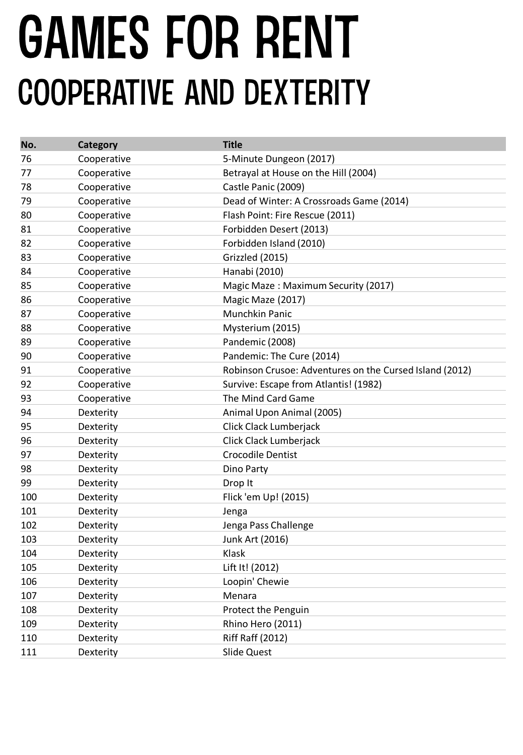## **GAMES FOR RENT COOPERATIVE AND DEXTERITY**

| No. | Category    | <b>Title</b>                                            |
|-----|-------------|---------------------------------------------------------|
| 76  | Cooperative | 5-Minute Dungeon (2017)                                 |
| 77  | Cooperative | Betrayal at House on the Hill (2004)                    |
| 78  | Cooperative | Castle Panic (2009)                                     |
| 79  | Cooperative | Dead of Winter: A Crossroads Game (2014)                |
| 80  | Cooperative | Flash Point: Fire Rescue (2011)                         |
| 81  | Cooperative | Forbidden Desert (2013)                                 |
| 82  | Cooperative | Forbidden Island (2010)                                 |
| 83  | Cooperative | Grizzled (2015)                                         |
| 84  | Cooperative | Hanabi (2010)                                           |
| 85  | Cooperative | Magic Maze: Maximum Security (2017)                     |
| 86  | Cooperative | Magic Maze (2017)                                       |
| 87  | Cooperative | Munchkin Panic                                          |
| 88  | Cooperative | Mysterium (2015)                                        |
| 89  | Cooperative | Pandemic (2008)                                         |
| 90  | Cooperative | Pandemic: The Cure (2014)                               |
| 91  | Cooperative | Robinson Crusoe: Adventures on the Cursed Island (2012) |
| 92  | Cooperative | Survive: Escape from Atlantis! (1982)                   |
| 93  | Cooperative | The Mind Card Game                                      |
| 94  | Dexterity   | Animal Upon Animal (2005)                               |
| 95  | Dexterity   | Click Clack Lumberjack                                  |
| 96  | Dexterity   | Click Clack Lumberjack                                  |
| 97  | Dexterity   | <b>Crocodile Dentist</b>                                |
| 98  | Dexterity   | Dino Party                                              |
| 99  | Dexterity   | Drop It                                                 |
| 100 | Dexterity   | Flick 'em Up! (2015)                                    |
| 101 | Dexterity   | Jenga                                                   |
| 102 | Dexterity   | Jenga Pass Challenge                                    |
| 103 | Dexterity   | Junk Art (2016)                                         |
| 104 | Dexterity   | Klask                                                   |
| 105 | Dexterity   | Lift It! (2012)                                         |
| 106 | Dexterity   | Loopin' Chewie                                          |
| 107 | Dexterity   | Menara                                                  |
| 108 | Dexterity   | Protect the Penguin                                     |
| 109 | Dexterity   | Rhino Hero (2011)                                       |
| 110 | Dexterity   | <b>Riff Raff (2012)</b>                                 |
| 111 | Dexterity   | Slide Quest                                             |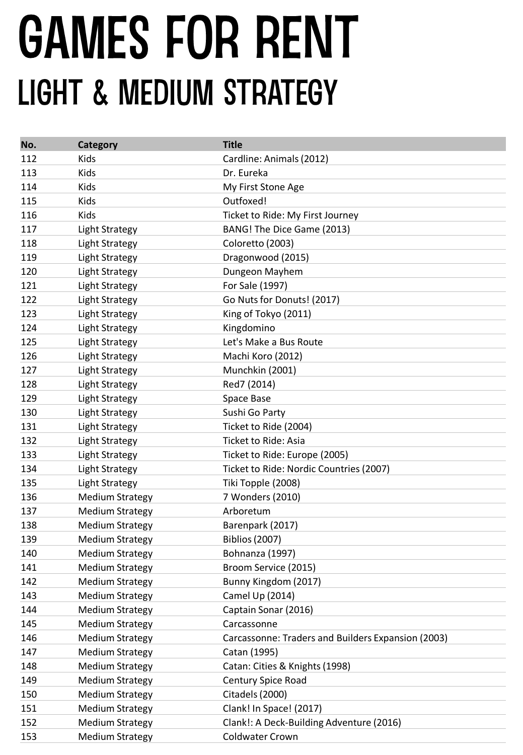## **GAMES FOR RENT LIGHT & MEDIUM STRATEGY**

| No. | Category               | <b>Title</b>                                       |
|-----|------------------------|----------------------------------------------------|
| 112 | Kids                   | Cardline: Animals (2012)                           |
| 113 | Kids                   | Dr. Eureka                                         |
| 114 | Kids                   | My First Stone Age                                 |
| 115 | Kids                   | Outfoxed!                                          |
| 116 | Kids                   | Ticket to Ride: My First Journey                   |
| 117 | Light Strategy         | BANG! The Dice Game (2013)                         |
| 118 | <b>Light Strategy</b>  | Coloretto (2003)                                   |
| 119 | <b>Light Strategy</b>  | Dragonwood (2015)                                  |
| 120 | <b>Light Strategy</b>  | Dungeon Mayhem                                     |
| 121 | <b>Light Strategy</b>  | For Sale (1997)                                    |
| 122 | <b>Light Strategy</b>  | Go Nuts for Donuts! (2017)                         |
| 123 | <b>Light Strategy</b>  | King of Tokyo (2011)                               |
| 124 | <b>Light Strategy</b>  | Kingdomino                                         |
| 125 | <b>Light Strategy</b>  | Let's Make a Bus Route                             |
| 126 | <b>Light Strategy</b>  | Machi Koro (2012)                                  |
| 127 | <b>Light Strategy</b>  | Munchkin (2001)                                    |
| 128 | <b>Light Strategy</b>  | Red7 (2014)                                        |
| 129 | <b>Light Strategy</b>  | Space Base                                         |
| 130 | <b>Light Strategy</b>  | Sushi Go Party                                     |
| 131 | <b>Light Strategy</b>  | Ticket to Ride (2004)                              |
| 132 | Light Strategy         | Ticket to Ride: Asia                               |
| 133 | <b>Light Strategy</b>  | Ticket to Ride: Europe (2005)                      |
| 134 | <b>Light Strategy</b>  | Ticket to Ride: Nordic Countries (2007)            |
| 135 | <b>Light Strategy</b>  | Tiki Topple (2008)                                 |
| 136 | <b>Medium Strategy</b> | 7 Wonders (2010)                                   |
| 137 | <b>Medium Strategy</b> | Arboretum                                          |
| 138 | <b>Medium Strategy</b> | Barenpark (2017)                                   |
| 139 | <b>Medium Strategy</b> | <b>Biblios (2007)</b>                              |
| 140 | <b>Medium Strategy</b> | Bohnanza (1997)                                    |
| 141 | <b>Medium Strategy</b> | Broom Service (2015)                               |
| 142 | <b>Medium Strategy</b> | Bunny Kingdom (2017)                               |
| 143 | <b>Medium Strategy</b> | Camel Up (2014)                                    |
| 144 | <b>Medium Strategy</b> | Captain Sonar (2016)                               |
| 145 | <b>Medium Strategy</b> | Carcassonne                                        |
| 146 | <b>Medium Strategy</b> | Carcassonne: Traders and Builders Expansion (2003) |
| 147 | <b>Medium Strategy</b> | Catan (1995)                                       |
| 148 | <b>Medium Strategy</b> | Catan: Cities & Knights (1998)                     |
| 149 | <b>Medium Strategy</b> | Century Spice Road                                 |
| 150 | <b>Medium Strategy</b> | Citadels (2000)                                    |
| 151 | <b>Medium Strategy</b> | Clank! In Space! (2017)                            |
| 152 | <b>Medium Strategy</b> | Clank!: A Deck-Building Adventure (2016)           |
| 153 | <b>Medium Strategy</b> | <b>Coldwater Crown</b>                             |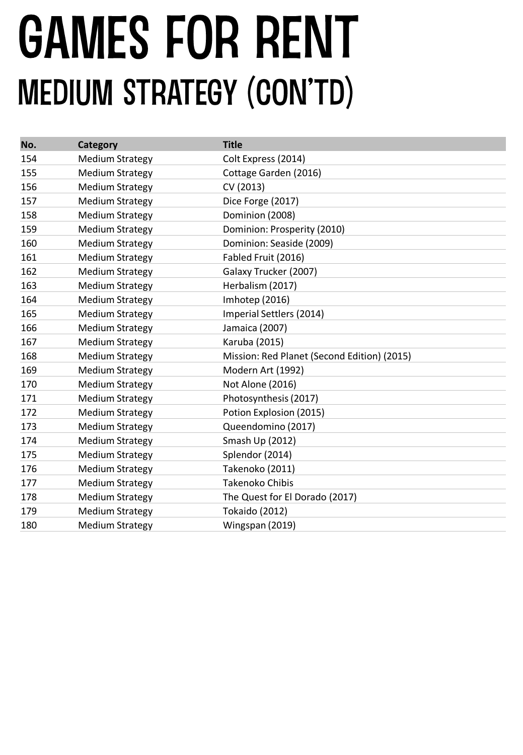## GAMES FOR RENT **MEDIUM STRATEGY (CON'TD)**

| No. | <b>Category</b>        | <b>Title</b>                                |
|-----|------------------------|---------------------------------------------|
| 154 | <b>Medium Strategy</b> | Colt Express (2014)                         |
| 155 | <b>Medium Strategy</b> | Cottage Garden (2016)                       |
| 156 | <b>Medium Strategy</b> | CV (2013)                                   |
| 157 | <b>Medium Strategy</b> | Dice Forge (2017)                           |
| 158 | <b>Medium Strategy</b> | Dominion (2008)                             |
| 159 | <b>Medium Strategy</b> | Dominion: Prosperity (2010)                 |
| 160 | <b>Medium Strategy</b> | Dominion: Seaside (2009)                    |
| 161 | <b>Medium Strategy</b> | Fabled Fruit (2016)                         |
| 162 | <b>Medium Strategy</b> | Galaxy Trucker (2007)                       |
| 163 | <b>Medium Strategy</b> | Herbalism (2017)                            |
| 164 | <b>Medium Strategy</b> | Imhotep (2016)                              |
| 165 | <b>Medium Strategy</b> | Imperial Settlers (2014)                    |
| 166 | <b>Medium Strategy</b> | Jamaica (2007)                              |
| 167 | <b>Medium Strategy</b> | Karuba (2015)                               |
| 168 | <b>Medium Strategy</b> | Mission: Red Planet (Second Edition) (2015) |
| 169 | <b>Medium Strategy</b> | Modern Art (1992)                           |
| 170 | <b>Medium Strategy</b> | Not Alone (2016)                            |
| 171 | <b>Medium Strategy</b> | Photosynthesis (2017)                       |
| 172 | <b>Medium Strategy</b> | Potion Explosion (2015)                     |
| 173 | <b>Medium Strategy</b> | Queendomino (2017)                          |
| 174 | <b>Medium Strategy</b> | Smash Up (2012)                             |
| 175 | <b>Medium Strategy</b> | Splendor (2014)                             |
| 176 | <b>Medium Strategy</b> | Takenoko (2011)                             |
| 177 | <b>Medium Strategy</b> | <b>Takenoko Chibis</b>                      |
| 178 | <b>Medium Strategy</b> | The Quest for El Dorado (2017)              |
| 179 | <b>Medium Strategy</b> | <b>Tokaido (2012)</b>                       |
| 180 | <b>Medium Strategy</b> | Wingspan (2019)                             |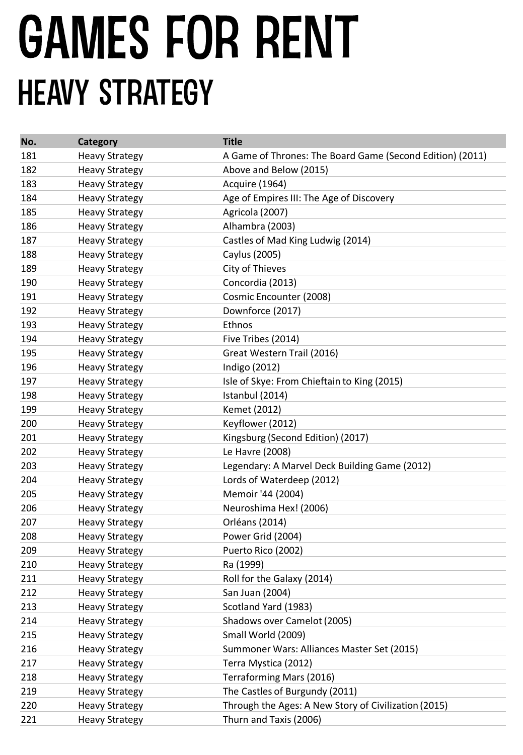# GAMES FOR RENT **HEAVY STRATEGY**

| No. | Category              | <b>Title</b>                                              |
|-----|-----------------------|-----------------------------------------------------------|
| 181 | <b>Heavy Strategy</b> | A Game of Thrones: The Board Game (Second Edition) (2011) |
| 182 | <b>Heavy Strategy</b> | Above and Below (2015)                                    |
| 183 | <b>Heavy Strategy</b> | Acquire (1964)                                            |
| 184 | <b>Heavy Strategy</b> | Age of Empires III: The Age of Discovery                  |
| 185 | <b>Heavy Strategy</b> | Agricola (2007)                                           |
| 186 | <b>Heavy Strategy</b> | Alhambra (2003)                                           |
| 187 | <b>Heavy Strategy</b> | Castles of Mad King Ludwig (2014)                         |
| 188 | <b>Heavy Strategy</b> | Caylus (2005)                                             |
| 189 | <b>Heavy Strategy</b> | City of Thieves                                           |
| 190 | <b>Heavy Strategy</b> | Concordia (2013)                                          |
| 191 | <b>Heavy Strategy</b> | Cosmic Encounter (2008)                                   |
| 192 | <b>Heavy Strategy</b> | Downforce (2017)                                          |
| 193 | <b>Heavy Strategy</b> | Ethnos                                                    |
| 194 | <b>Heavy Strategy</b> | Five Tribes (2014)                                        |
| 195 | <b>Heavy Strategy</b> | Great Western Trail (2016)                                |
| 196 | <b>Heavy Strategy</b> | Indigo (2012)                                             |
| 197 | <b>Heavy Strategy</b> | Isle of Skye: From Chieftain to King (2015)               |
| 198 | <b>Heavy Strategy</b> | Istanbul (2014)                                           |
| 199 | <b>Heavy Strategy</b> | Kemet (2012)                                              |
| 200 | <b>Heavy Strategy</b> | Keyflower (2012)                                          |
| 201 | <b>Heavy Strategy</b> | Kingsburg (Second Edition) (2017)                         |
| 202 | <b>Heavy Strategy</b> | Le Havre (2008)                                           |
| 203 | <b>Heavy Strategy</b> | Legendary: A Marvel Deck Building Game (2012)             |
| 204 | <b>Heavy Strategy</b> | Lords of Waterdeep (2012)                                 |
| 205 | <b>Heavy Strategy</b> | Memoir '44 (2004)                                         |
| 206 | <b>Heavy Strategy</b> | Neuroshima Hex! (2006)                                    |
| 207 | <b>Heavy Strategy</b> | Orléans (2014)                                            |
| 208 | <b>Heavy Strategy</b> | Power Grid (2004)                                         |
| 209 | <b>Heavy Strategy</b> | Puerto Rico (2002)                                        |
| 210 | <b>Heavy Strategy</b> | Ra (1999)                                                 |
| 211 | <b>Heavy Strategy</b> | Roll for the Galaxy (2014)                                |
| 212 | <b>Heavy Strategy</b> | San Juan (2004)                                           |
| 213 | <b>Heavy Strategy</b> | Scotland Yard (1983)                                      |
| 214 | <b>Heavy Strategy</b> | Shadows over Camelot (2005)                               |
| 215 | <b>Heavy Strategy</b> | Small World (2009)                                        |
| 216 | <b>Heavy Strategy</b> | Summoner Wars: Alliances Master Set (2015)                |
| 217 | <b>Heavy Strategy</b> | Terra Mystica (2012)                                      |
| 218 | <b>Heavy Strategy</b> | Terraforming Mars (2016)                                  |
| 219 | <b>Heavy Strategy</b> | The Castles of Burgundy (2011)                            |
| 220 | <b>Heavy Strategy</b> | Through the Ages: A New Story of Civilization (2015)      |
| 221 | <b>Heavy Strategy</b> | Thurn and Taxis (2006)                                    |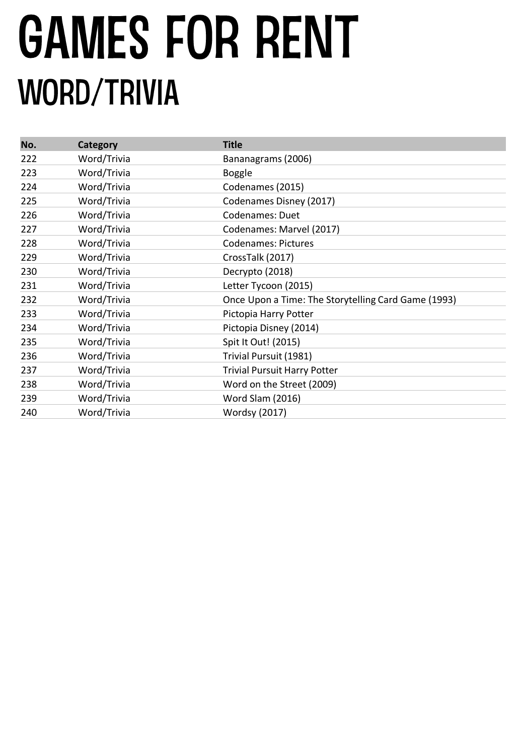# **GAMES FOR RENT WORD/TRIVIA**

| No. | Category    | <b>Title</b>                                        |
|-----|-------------|-----------------------------------------------------|
| 222 | Word/Trivia | Bananagrams (2006)                                  |
| 223 | Word/Trivia | <b>Boggle</b>                                       |
| 224 | Word/Trivia | Codenames (2015)                                    |
| 225 | Word/Trivia | Codenames Disney (2017)                             |
| 226 | Word/Trivia | Codenames: Duet                                     |
| 227 | Word/Trivia | Codenames: Marvel (2017)                            |
| 228 | Word/Trivia | <b>Codenames: Pictures</b>                          |
| 229 | Word/Trivia | CrossTalk (2017)                                    |
| 230 | Word/Trivia | Decrypto (2018)                                     |
| 231 | Word/Trivia | Letter Tycoon (2015)                                |
| 232 | Word/Trivia | Once Upon a Time: The Storytelling Card Game (1993) |
| 233 | Word/Trivia | Pictopia Harry Potter                               |
| 234 | Word/Trivia | Pictopia Disney (2014)                              |
| 235 | Word/Trivia | Spit It Out! (2015)                                 |
| 236 | Word/Trivia | Trivial Pursuit (1981)                              |
| 237 | Word/Trivia | <b>Trivial Pursuit Harry Potter</b>                 |
| 238 | Word/Trivia | Word on the Street (2009)                           |
| 239 | Word/Trivia | Word Slam (2016)                                    |
| 240 | Word/Trivia | Wordsy (2017)                                       |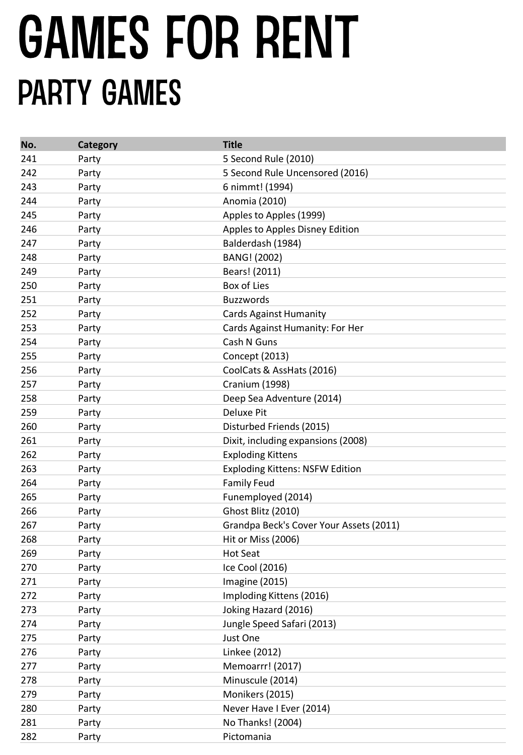# **GAMES FOR RENT PARTY GAMES**

| No. | Category | <b>Title</b>                            |
|-----|----------|-----------------------------------------|
| 241 | Party    | 5 Second Rule (2010)                    |
| 242 | Party    | 5 Second Rule Uncensored (2016)         |
| 243 | Party    | 6 nimmt! (1994)                         |
| 244 | Party    | Anomia (2010)                           |
| 245 | Party    | Apples to Apples (1999)                 |
| 246 | Party    | Apples to Apples Disney Edition         |
| 247 | Party    | Balderdash (1984)                       |
| 248 | Party    | BANG! (2002)                            |
| 249 | Party    | Bears! (2011)                           |
| 250 | Party    | Box of Lies                             |
| 251 | Party    | <b>Buzzwords</b>                        |
| 252 | Party    | <b>Cards Against Humanity</b>           |
| 253 | Party    | Cards Against Humanity: For Her         |
| 254 | Party    | Cash N Guns                             |
| 255 | Party    | Concept (2013)                          |
| 256 | Party    | CoolCats & AssHats (2016)               |
| 257 | Party    | Cranium (1998)                          |
| 258 | Party    | Deep Sea Adventure (2014)               |
| 259 | Party    | <b>Deluxe Pit</b>                       |
| 260 | Party    | Disturbed Friends (2015)                |
| 261 | Party    | Dixit, including expansions (2008)      |
| 262 | Party    | <b>Exploding Kittens</b>                |
| 263 | Party    | <b>Exploding Kittens: NSFW Edition</b>  |
| 264 | Party    | <b>Family Feud</b>                      |
| 265 | Party    | Funemployed (2014)                      |
| 266 | Party    | Ghost Blitz (2010)                      |
| 267 | Party    | Grandpa Beck's Cover Your Assets (2011) |
| 268 | Party    | Hit or Miss (2006)                      |
| 269 | Party    | <b>Hot Seat</b>                         |
| 270 | Party    | Ice Cool (2016)                         |
| 271 | Party    | <b>Imagine (2015)</b>                   |
| 272 | Party    | Imploding Kittens (2016)                |
| 273 | Party    | Joking Hazard (2016)                    |
| 274 | Party    | Jungle Speed Safari (2013)              |
| 275 | Party    | Just One                                |
| 276 | Party    | Linkee (2012)                           |
| 277 | Party    | Memoarrr! (2017)                        |
| 278 | Party    | Minuscule (2014)                        |
| 279 | Party    | Monikers (2015)                         |
| 280 | Party    | Never Have I Ever (2014)                |
| 281 | Party    | No Thanks! (2004)                       |
| 282 | Party    | Pictomania                              |